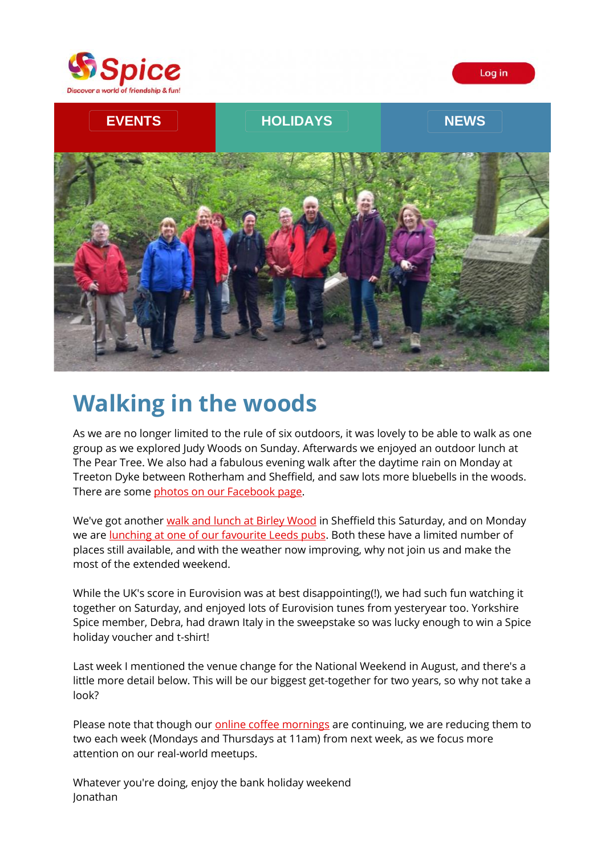





# **Walking in the woods**

As we are no longer limited to the rule of six outdoors, it was lovely to be able to walk as one group as we explored Judy Woods on Sunday. Afterwards we enjoyed an outdoor lunch at The Pear Tree. We also had a fabulous evening walk after the daytime rain on Monday at Treeton Dyke between Rotherham and Sheffield, and saw lots more bluebells in the woods. There are some [photos on our Facebook page.](https://spiceuk.lt.acemlna.com/Prod/link-tracker?redirectUrl=aHR0cHMlM0ElMkYlMkZ3d3cuZmFjZWJvb2suY29tJTJGU3BpY2VZb3Jrc2hpcmUlMkZwaG90b3M=&a=650344965&account=spiceuk%2Eactivehosted%2Ecom&email=1lNuJE%2BrfgC%2F8jRYTdcwIV8mo4ad0FCroTtAVDq%2FbzQ%3D&s=b900027c55ea3ffe9431fd4817f89468&i=103A121A4A2134)

We've got another [walk and lunch at Birley Wood](https://spiceuk.lt.acemlna.com/Prod/link-tracker?redirectUrl=aHR0cHMlM0ElMkYlMkZ3d3cuc3BpY2V1ay5jb20lMkZldmVudHMtaG9saWRheXMlMkZiaXJsZXktd29vZC13YWxrLWFuZC1sdW5jaA==&a=650344965&account=spiceuk%2Eactivehosted%2Ecom&email=1lNuJE%2BrfgC%2F8jRYTdcwIV8mo4ad0FCroTtAVDq%2FbzQ%3D&s=b900027c55ea3ffe9431fd4817f89468&i=103A121A4A2135) in Sheffield this Saturday, and on Monday we are [lunching at one of our favourite Leeds pubs.](https://spiceuk.lt.acemlna.com/Prod/link-tracker?redirectUrl=aHR0cHMlM0ElMkYlMkZ3d3cuc3BpY2V1ay5jb20lMkZldmVudHMtaG9saWRheXMlMkZiYW5rLWhvbGlkYXktbHVuY2gtYXQtdGhlLWxhbWItYW5kLWZsYWctbGVlZHM=&a=650344965&account=spiceuk%2Eactivehosted%2Ecom&email=1lNuJE%2BrfgC%2F8jRYTdcwIV8mo4ad0FCroTtAVDq%2FbzQ%3D&s=b900027c55ea3ffe9431fd4817f89468&i=103A121A4A2136) Both these have a limited number of places still available, and with the weather now improving, why not join us and make the most of the extended weekend.

While the UK's score in Eurovision was at best disappointing(!), we had such fun watching it together on Saturday, and enjoyed lots of Eurovision tunes from yesteryear too. Yorkshire Spice member, Debra, had drawn Italy in the sweepstake so was lucky enough to win a Spice holiday voucher and t-shirt!

Last week I mentioned the venue change for the National Weekend in August, and there's a little more detail below. This will be our biggest get-together for two years, so why not take a look?

Please note that though our [online coffee mornings](https://spiceuk.lt.acemlna.com/Prod/link-tracker?redirectUrl=aHR0cHMlM0ElMkYlMkZ3d3cuc3BpY2V1ay5jb20lMkZldmVudHMtaG9saWRheXMlM0Zvd25lciUzREFsbCUyNm1hc3RlckNhdGVnb3J5JTNET25saW5lJTI2c2VhcmNoJTNEY29mZmVl&a=650344965&account=spiceuk%2Eactivehosted%2Ecom&email=1lNuJE%2BrfgC%2F8jRYTdcwIV8mo4ad0FCroTtAVDq%2FbzQ%3D&s=b900027c55ea3ffe9431fd4817f89468&i=103A121A4A2137) are continuing, we are reducing them to two each week (Mondays and Thursdays at 11am) from next week, as we focus more attention on our real-world meetups.

Whatever you're doing, enjoy the bank holiday weekend Jonathan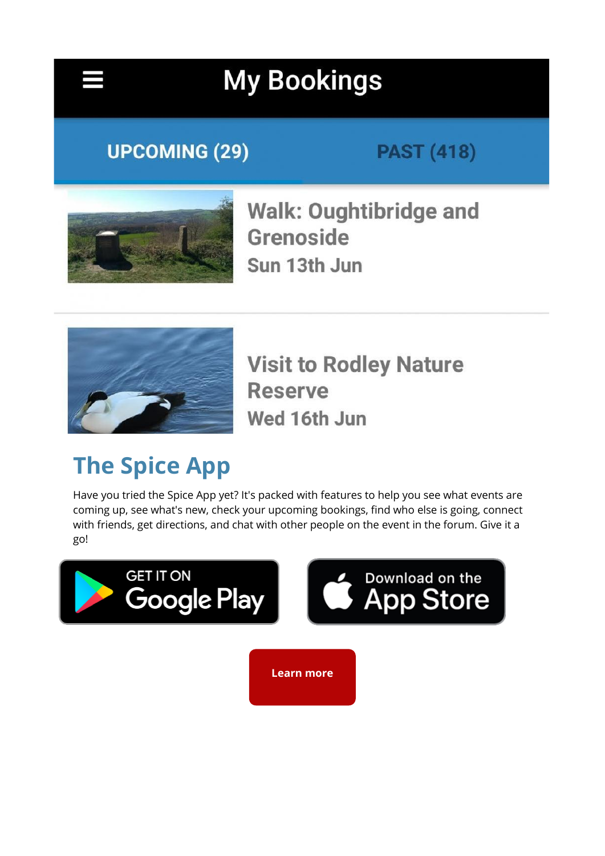

# **My Bookings**

## **UPCOMING (29)**

## **PAST (418)**



**Walk: Oughtibridge and Grenoside** Sun 13th Jun



**Visit to Rodley Nature Reserve** Wed 16th Jun

# **The Spice App**

Have you tried the Spice App yet? It's packed with features to help you see what events are coming up, see what's new, check your upcoming bookings, find who else is going, connect with friends, get directions, and chat with other people on the event in the forum. Give it a go!

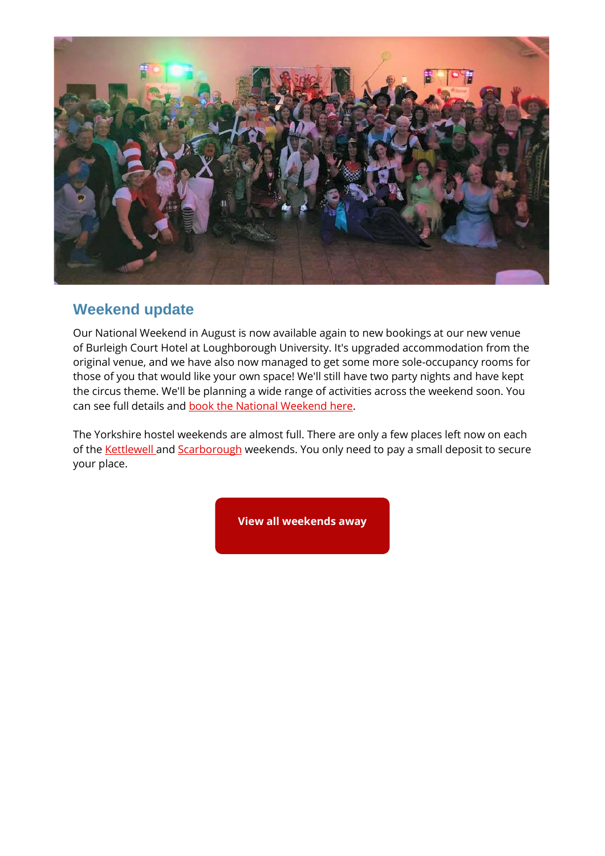

#### **Weekend update**

Our National Weekend in August is now available again to new bookings at our new venue of Burleigh Court Hotel at Loughborough University. It's upgraded accommodation from the original venue, and we have also now managed to get some more sole-occupancy rooms for those of you that would like your own space! We'll still have two party nights and have kept the circus theme. We'll be planning a wide range of activities across the weekend soon. You can see full details and [book the National Weekend here.](https://spiceuk.lt.acemlna.com/Prod/link-tracker?redirectUrl=aHR0cHMlM0ElMkYlMkZ3d3cuc3BpY2V1ay5jb20lMkZldmVudHMtaG9saWRheXMlMkZzcGljZS1uYXRpb25hbC13ZWVrZW5kLWxvdWdoYm9yb3VnaC11bml2ZXJzaXR5&a=650344965&account=spiceuk%2Eactivehosted%2Ecom&email=1lNuJE%2BrfgC%2F8jRYTdcwIV8mo4ad0FCroTtAVDq%2FbzQ%3D&s=b900027c55ea3ffe9431fd4817f89468&i=103A121A4A2141)

The Yorkshire hostel weekends are almost full. There are only a few places left now on each of the **Kettlewell** and **Scarborough** weekends. You only need to pay a small deposit to secure your place.

**[View all weekends away](https://spiceuk.lt.acemlna.com/Prod/link-tracker?redirectUrl=aHR0cHMlM0ElMkYlMkZ3d3cuc3BpY2V1ay5jb20lMkZldmVudHMtaG9saWRheXMlM0Zvd25lciUzREFsbCUyNm1hc3RlckNhdGVnb3J5JTNEV2Vla2VuZHMlMjUyMEF3YXk=&a=650344965&account=spiceuk%2Eactivehosted%2Ecom&email=1lNuJE%2BrfgC%2F8jRYTdcwIV8mo4ad0FCroTtAVDq%2FbzQ%3D&s=b900027c55ea3ffe9431fd4817f89468&i=103A121A4A2113)**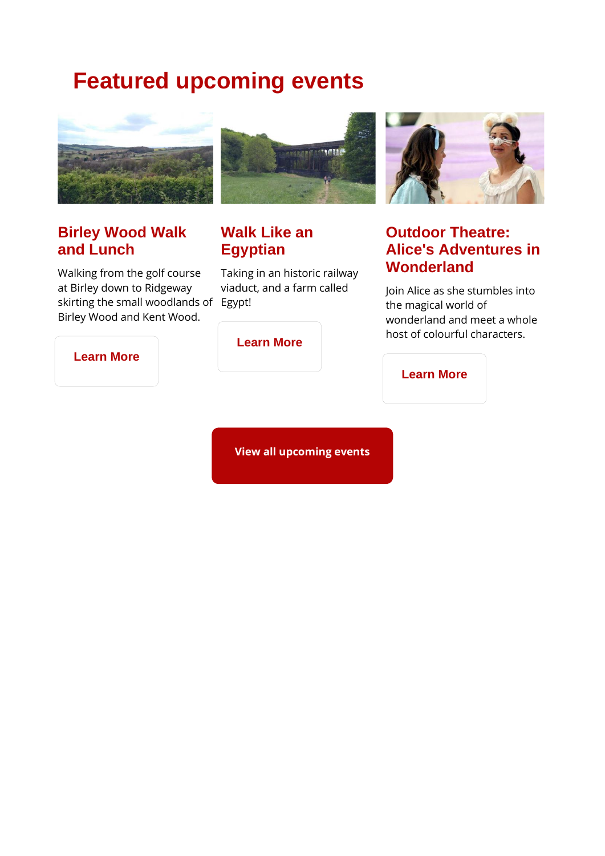## **Featured upcoming events**



#### **Birley Wood Walk and Lunch**

Walking from the golf course at Birley down to Ridgeway skirting the small woodlands of Egypt! Birley Wood and Kent Wood.



### **Walk Like an Egyptian**

Taking in an historic railway viaduct, and a farm called



### **Outdoor Theatre: Alice's Adventures in Wonderland**

Join Alice as she stumbles into the magical world of wonderland and meet a whole host of colourful characters.

**[Learn More](https://spiceuk.lt.acemlna.com/Prod/link-tracker?redirectUrl=aHR0cHMlM0ElMkYlMkZ3d3cuc3BpY2V1ay5jb20lMkZldmVudHMtaG9saWRheXMlMkZvdXRkb29yLXRoZWF0cmUtYWxpY2VzLWFkdmVudHVyZXMtaW4td29uZGVybGFuZC1hdC1iaXJzdGFsbA==&a=650344965&account=spiceuk%2Eactivehosted%2Ecom&email=1lNuJE%2BrfgC%2F8jRYTdcwIV8mo4ad0FCroTtAVDq%2FbzQ%3D&s=b900027c55ea3ffe9431fd4817f89468&i=103A121A4A2143)**

#### **[Learn More](https://spiceuk.lt.acemlna.com/Prod/link-tracker?redirectUrl=aHR0cHMlM0ElMkYlMkZ3d3cuc3BpY2V1ay5jb20lMkZldmVudHMtaG9saWRheXMlMkZiaXJsZXktd29vZC13YWxrLWFuZC1sdW5jaA==&a=650344965&account=spiceuk%2Eactivehosted%2Ecom&email=1lNuJE%2BrfgC%2F8jRYTdcwIV8mo4ad0FCroTtAVDq%2FbzQ%3D&s=b900027c55ea3ffe9431fd4817f89468&i=103A121A4A2135)**

#### **[Learn More](https://spiceuk.lt.acemlna.com/Prod/link-tracker?redirectUrl=aHR0cHMlM0ElMkYlMkZ3d3cuc3BpY2V1ay5jb20lMkZldmVudHMtaG9saWRheXMlMkZldmVuaW5nLXdhbGstd2Fsay1saWtlLWFuLWVneXB0aWFu&a=650344965&account=spiceuk%2Eactivehosted%2Ecom&email=1lNuJE%2BrfgC%2F8jRYTdcwIV8mo4ad0FCroTtAVDq%2FbzQ%3D&s=b900027c55ea3ffe9431fd4817f89468&i=103A121A4A2142)**

**[View all upcoming events](https://spiceuk.lt.acemlna.com/Prod/link-tracker?redirectUrl=aHR0cHMlM0ElMkYlMkZ3d3cuc3BpY2V1ay5jb20lMkZldmVudHMtaG9saWRheXMlM0ZtYXN0ZXJDYXRlZ29yeSUzREFsbCUyNmNhdGVnb3J5JTNEQWxsJTI2b3duZXIlM0RBbGw=&a=650344965&account=spiceuk%2Eactivehosted%2Ecom&email=1lNuJE%2BrfgC%2F8jRYTdcwIV8mo4ad0FCroTtAVDq%2FbzQ%3D&s=b900027c55ea3ffe9431fd4817f89468&i=103A121A4A2122)**